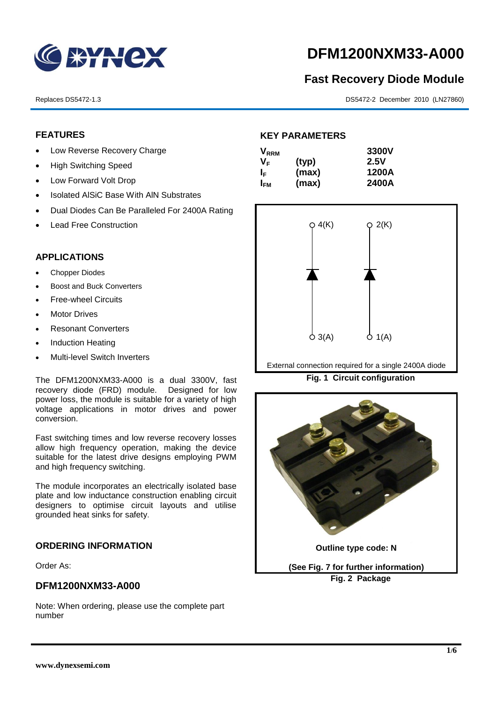

# **DFM1200NXM33-A000**

## **Fast Recovery Diode Module**

Replaces DS5472-1.3 DS5472-2 December 2010 (LN27860)

#### **FEATURES**

- Low Reverse Recovery Charge
- High Switching Speed
- Low Forward Volt Drop
- Isolated AISiC Base With AIN Substrates
- Dual Diodes Can Be Paralleled For 2400A Rating
- Lead Free Construction

#### **APPLICATIONS**

- Chopper Diodes
- Boost and Buck Converters
- Free-wheel Circuits
- Motor Drives
- Resonant Converters
- Induction Heating
- Multi-level Switch Inverters

The DFM1200NXM33-A000 is a dual 3300V, fast recovery diode (FRD) module. Designed for low power loss, the module is suitable for a variety of high voltage applications in motor drives and power conversion.

Fast switching times and low reverse recovery losses allow high frequency operation, making the device suitable for the latest drive designs employing PWM and high frequency switching.

The module incorporates an electrically isolated base plate and low inductance construction enabling circuit designers to optimise circuit layouts and utilise grounded heat sinks for safety.

#### **ORDERING INFORMATION**

Order As:

#### **DFM1200NXM33-A000**

Note: When ordering, please use the complete part number

### **KEY PARAMETERS**

| $\mathsf{V}_{\mathsf{RRM}}$ |       | 3300V |
|-----------------------------|-------|-------|
| Vғ                          | (typ) | 2.5V  |
| ΙF                          | (max) | 1200A |
| I <sub>FМ</sub>             | (max) | 2400A |



External connection required for a single 2400A diode

**Fig. 1 Circuit configuration**

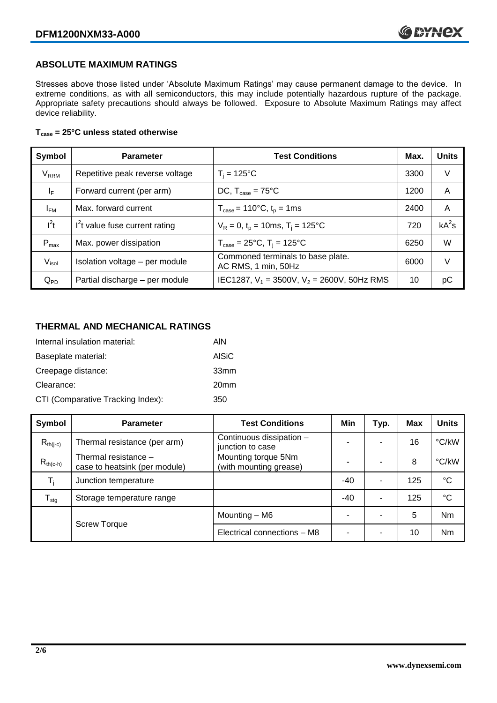#### **ABSOLUTE MAXIMUM RATINGS**

Stresses above those listed under 'Absolute Maximum Ratings' may cause permanent damage to the device. In extreme conditions, as with all semiconductors, this may include potentially hazardous rupture of the package. Appropriate safety precautions should always be followed. Exposure to Absolute Maximum Ratings may affect device reliability.

#### **Tcase = 25°C unless stated otherwise**

| Symbol                  | <b>Parameter</b>                | <b>Test Conditions</b>                                                     | Max. | <b>Units</b> |
|-------------------------|---------------------------------|----------------------------------------------------------------------------|------|--------------|
| <b>V</b> <sub>RRM</sub> | Repetitive peak reverse voltage | $T_i = 125$ °C                                                             | 3300 | V            |
| $\mathsf{I}_\mathsf{F}$ | Forward current (per arm)       | DC, $T_{\text{case}} = 75^{\circ}$ C                                       | 1200 | A            |
| $I_{FM}$                | Max. forward current            | $T_{\text{case}} = 110^{\circ}C, t_{p} = 1ms$                              | 2400 | A            |
| $I^2t$                  | $I2t$ value fuse current rating | $V_R = 0$ , $t_p = 10$ ms, $T_i = 125$ °C                                  | 720  | $kA^2s$      |
| $P_{max}$               | Max. power dissipation          | $T_{\text{case}} = 25^{\circ}\text{C}, T_{\text{i}} = 125^{\circ}\text{C}$ | 6250 | W            |
| V <sub>isol</sub>       | Isolation voltage - per module  | Commoned terminals to base plate.<br>AC RMS, 1 min, 50Hz                   | 6000 | V            |
| $Q_{PD}$                | Partial discharge - per module  | IEC1287, $V_1$ = 3500V, $V_2$ = 2600V, 50Hz RMS                            | 10   | рC           |

#### **THERMAL AND MECHANICAL RATINGS**

| Internal insulation material:     | AIN              |
|-----------------------------------|------------------|
| Baseplate material:               | <b>AISiC</b>     |
| Creepage distance:                | 33 <sub>mm</sub> |
| Clearance:                        | 20 <sub>mm</sub> |
| CTI (Comparative Tracking Index): | 350              |

| Symbol                     | <b>Parameter</b>                                      | <b>Test Conditions</b>                        | Min   | Typ. | <b>Max</b> | <b>Units</b> |
|----------------------------|-------------------------------------------------------|-----------------------------------------------|-------|------|------------|--------------|
| $R_{th(i-c)}$              | Thermal resistance (per arm)                          | Continuous dissipation -<br>junction to case  | -     | ۰    | 16         | °C/kW        |
| $R_{th(c-h)}$              | Thermal resistance -<br>case to heatsink (per module) | Mounting torque 5Nm<br>(with mounting grease) |       |      | 8          | °C/kW        |
| $T_i$                      | Junction temperature                                  |                                               | $-40$ | ۰    | 125        | $^{\circ}C$  |
| ${\mathsf T}_{\text{stg}}$ | Storage temperature range                             |                                               | $-40$ | ۰    | 125        | °C           |
|                            |                                                       | Mounting - M6                                 |       |      | 5          | Nm           |
|                            | <b>Screw Torque</b>                                   | Electrical connections - M8                   | -     | ۰    | 10         | Nm           |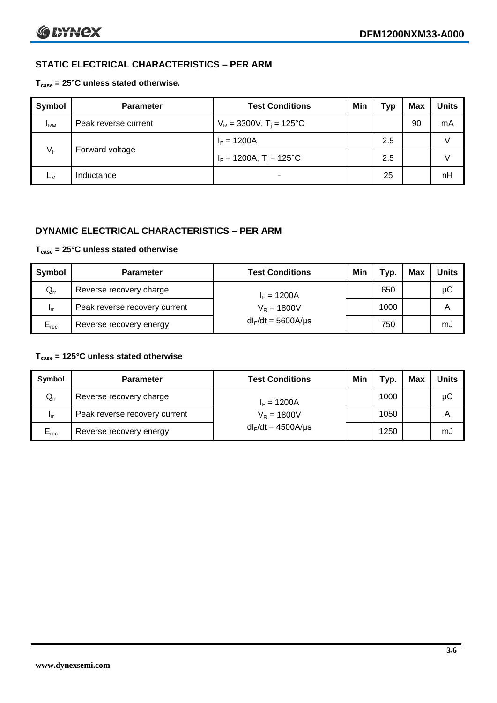### **STATIC ELECTRICAL CHARACTERISTICS – PER ARM**

#### **Tcase = 25°C unless stated otherwise.**

| <b>Symbol</b> | <b>Parameter</b>     | <b>Test Conditions</b>                 | Min | Typ | <b>Max</b> | <b>Units</b> |
|---------------|----------------------|----------------------------------------|-----|-----|------------|--------------|
| $I_{\rm RM}$  | Peak reverse current | $V_R = 3300V$ , T <sub>i</sub> = 125°C |     |     | 90         | mA           |
| $V_F$         | Forward voltage      | $I_F = 1200A$                          |     | 2.5 |            | v            |
|               |                      | $I_F = 1200A$ , $T_i = 125^{\circ}C$   |     | 2.5 |            | V            |
| Lм            | Inductance           |                                        |     | 25  |            | nH           |

### **DYNAMIC ELECTRICAL CHARACTERISTICS – PER ARM**

#### **Tcase = 25°C unless stated otherwise**

| Symbol          | <b>Parameter</b>              | <b>Test Conditions</b>  | Min | Typ. | Max | <b>Units</b> |
|-----------------|-------------------------------|-------------------------|-----|------|-----|--------------|
| $Q_{rr}$        | Reverse recovery charge       | $I_F = 1200A$           |     | 650  |     | μC           |
| 1 <sub>rr</sub> | Peak reverse recovery current | $V_R = 1800V$           |     | 1000 |     | A            |
| $E_{rec}$       | Reverse recovery energy       | $dl_F/dt = 5600A/\mu s$ |     | 750  |     | mJ           |

#### **Tcase = 125°C unless stated otherwise**

| Symbol                     | <b>Parameter</b>              | <b>Test Conditions</b>  | Min | Typ. | Max | Units |
|----------------------------|-------------------------------|-------------------------|-----|------|-----|-------|
| $\mathsf{Q}_{\mathsf{rr}}$ | Reverse recovery charge       | $I_F = 1200A$           |     | 1000 |     | μC    |
| - Irr                      | Peak reverse recovery current | $V_R = 1800V$           |     | 1050 |     | Α     |
| $E_{rec}$                  | Reverse recovery energy       | $dl_F/dt = 4500A/\mu s$ |     | 1250 |     | mJ    |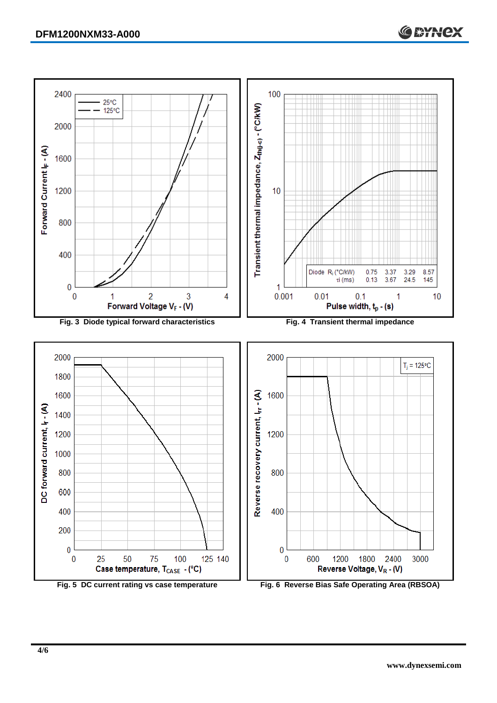Forward Current (- (A)



400

 $\mathbf{0}$ 

 $\bf{0}$ 

600

125 140



50

75

Case temperature, T<sub>CASE</sub> - (°C)

100



1800

Reverse Voltage, VR - (V)

2400

1200

3000

**C BYNCX** 

DC forward current,  $\mathsf{I}_\mathsf{r}\cdot(\mathsf{A})$ 

600

400

200

 $\bf{0}$ 

 $\bf{0}$ 

25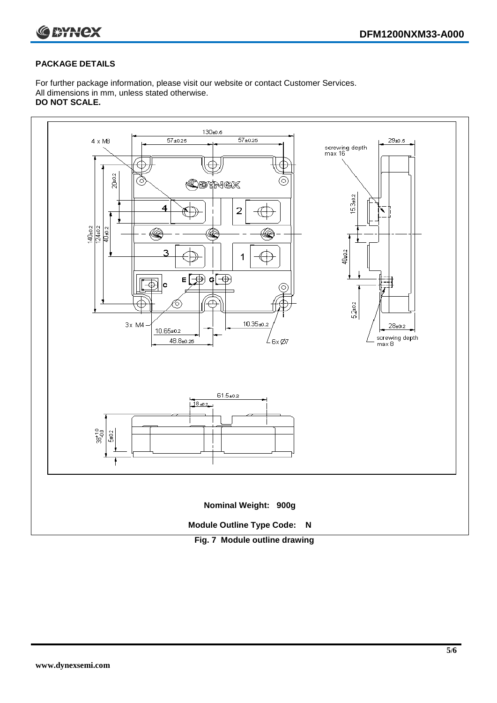

#### **PACKAGE DETAILS**

For further package information, please visit our website or contact Customer Services. All dimensions in mm, unless stated otherwise. **DO NOT SCALE.**